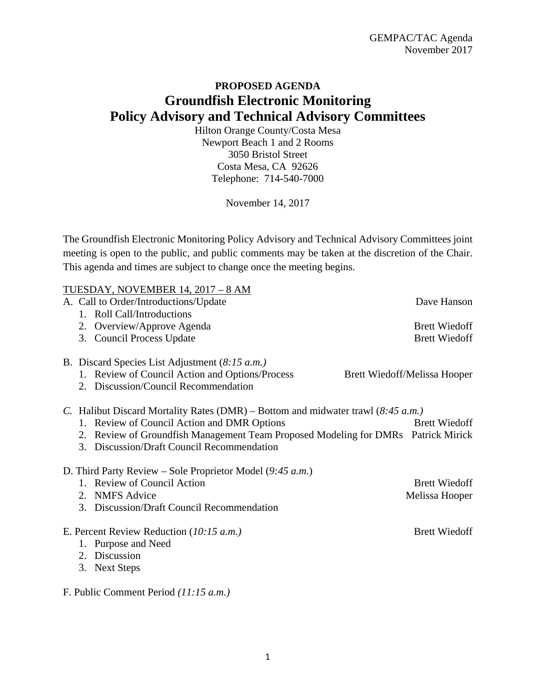## **PROPOSED AGENDA Groundfish Electronic Monitoring Policy Advisory and Technical Advisory Committees**

Hilton Orange County/Costa Mesa Newport Beach 1 and 2 Rooms 3050 Bristol Street Costa Mesa, CA 92626 Telephone: 714-540-7000

November 14, 2017

The Groundfish Electronic Monitoring Policy Advisory and Technical Advisory Committees joint meeting is open to the public, and public comments may be taken at the discretion of the Chair. This agenda and times are subject to change once the meeting begins.

|                                                             |    | TUESDAY, NOVEMBER 14, 2017 – 8 AM                                                 |                              |  |  |
|-------------------------------------------------------------|----|-----------------------------------------------------------------------------------|------------------------------|--|--|
|                                                             |    | A. Call to Order/Introductions/Update                                             | Dave Hanson                  |  |  |
|                                                             |    | 1. Roll Call/Introductions                                                        |                              |  |  |
|                                                             |    | 2. Overview/Approve Agenda                                                        | <b>Brett Wiedoff</b>         |  |  |
|                                                             |    | 3. Council Process Update                                                         | <b>Brett Wiedoff</b>         |  |  |
|                                                             |    | B. Discard Species List Adjustment $(8:15 a.m.)$                                  |                              |  |  |
|                                                             |    | 1. Review of Council Action and Options/Process                                   | Brett Wiedoff/Melissa Hooper |  |  |
|                                                             |    | 2. Discussion/Council Recommendation                                              |                              |  |  |
|                                                             |    | C. Halibut Discard Mortality Rates (DMR) – Bottom and midwater trawl (8.45 a.m.)  |                              |  |  |
|                                                             |    | 1. Review of Council Action and DMR Options                                       | <b>Brett Wiedoff</b>         |  |  |
|                                                             |    | 2. Review of Groundfish Management Team Proposed Modeling for DMRs Patrick Mirick |                              |  |  |
|                                                             |    | 3. Discussion/Draft Council Recommendation                                        |                              |  |  |
| D. Third Party Review – Sole Proprietor Model $(9:45 a.m.)$ |    |                                                                                   |                              |  |  |
|                                                             |    | 1. Review of Council Action                                                       | <b>Brett Wiedoff</b>         |  |  |
|                                                             |    | 2. NMFS Advice                                                                    | Melissa Hooper               |  |  |
|                                                             |    | 3. Discussion/Draft Council Recommendation                                        |                              |  |  |
| E. Percent Review Reduction $(10:15 a.m.)$                  |    |                                                                                   | <b>Brett Wiedoff</b>         |  |  |
|                                                             |    | 1. Purpose and Need                                                               |                              |  |  |
|                                                             |    | 2. Discussion                                                                     |                              |  |  |
|                                                             | 3. | <b>Next Steps</b>                                                                 |                              |  |  |
|                                                             |    |                                                                                   |                              |  |  |

F. Public Comment Period *(11:15 a.m.)*